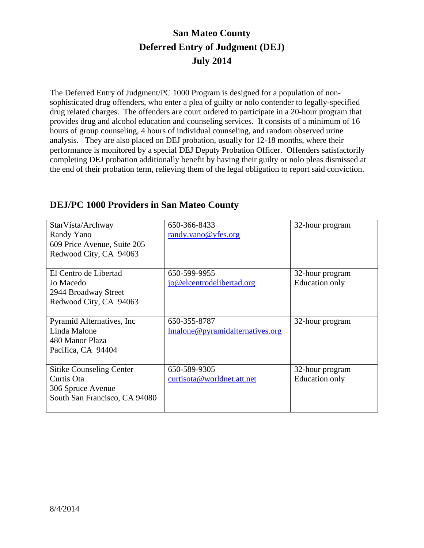## **San Mateo County Deferred Entry of Judgment (DEJ) July 2014**

The Deferred Entry of Judgment/PC 1000 Program is designed for a population of nonsophisticated drug offenders, who enter a plea of guilty or nolo contender to legally-specified drug related charges. The offenders are court ordered to participate in a 20-hour program that provides drug and alcohol education and counseling services. It consists of a minimum of 16 hours of group counseling, 4 hours of individual counseling, and random observed urine analysis. They are also placed on DEJ probation, usually for 12-18 months, where their performance is monitored by a special DEJ Deputy Probation Officer. Offenders satisfactorily completing DEJ probation additionally benefit by having their guilty or nolo pleas dismissed at the end of their probation term, relieving them of the legal obligation to report said conviction.

| StarVista/Archway<br>Randy Yano<br>609 Price Avenue, Suite 205<br>Redwood City, CA 94063            | 650-366-8433<br>randy.yano@yfes.org             | 32-hour program                          |
|-----------------------------------------------------------------------------------------------------|-------------------------------------------------|------------------------------------------|
| El Centro de Libertad<br>Jo Macedo<br>2944 Broadway Street<br>Redwood City, CA 94063                | 650-599-9955<br>jo@elcentrodelibertad.org       | 32-hour program<br><b>Education only</b> |
| Pyramid Alternatives, Inc.<br>Linda Malone<br>480 Manor Plaza<br>Pacifica, CA 94404                 | 650-355-8787<br>Imalone@pyramidalternatives.org | 32-hour program                          |
| <b>Sitike Counseling Center</b><br>Curtis Ota<br>306 Spruce Avenue<br>South San Francisco, CA 94080 | 650-589-9305<br>curtisota@worldnet.att.net      | 32-hour program<br><b>Education only</b> |

## **DEJ/PC 1000 Providers in San Mateo County**